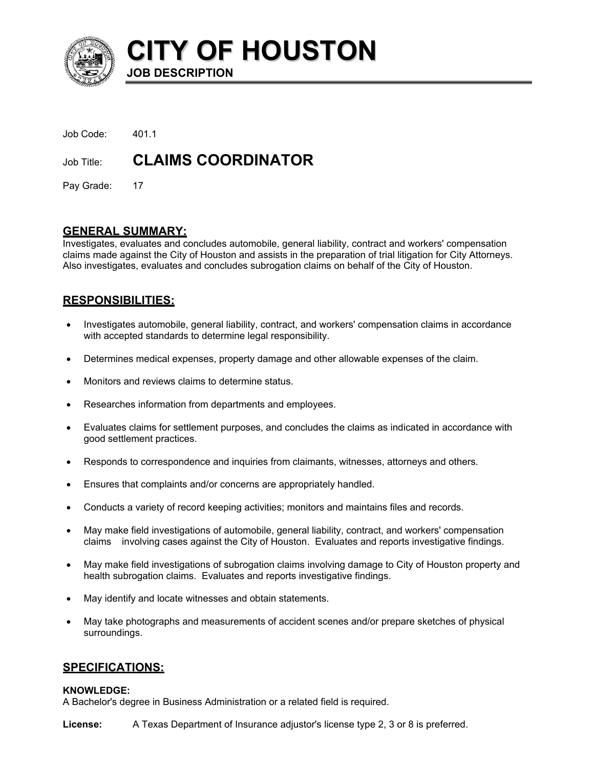

**CITY OF HOUSTON JOB DESCRIPTION** 

| Job Code:  | -401.1                    |
|------------|---------------------------|
| Job Title: | <b>CLAIMS COORDINATOR</b> |

Pay Grade: 17

# **GENERAL SUMMARY:**

Investigates, evaluates and concludes automobile, general liability, contract and workers' compensation claims made against the City of Houston and assists in the preparation of trial litigation for City Attorneys. Also investigates, evaluates and concludes subrogation claims on behalf of the City of Houston.

# **RESPONSIBILITIES:**

- Investigates automobile, general liability, contract, and workers' compensation claims in accordance with accepted standards to determine legal responsibility. •
- Determines medical expenses, property damage and other allowable expenses of the claim.
- Monitors and reviews claims to determine status.
- Researches information from departments and employees.
- Evaluates claims for settlement purposes, and concludes the claims as indicated in accordance with good settlement practices.
- Responds to correspondence and inquiries from claimants, witnesses, attorneys and others.
- Ensures that complaints and/or concerns are appropriately handled.
- Conducts a variety of record keeping activities; monitors and maintains files and records.
- May make field investigations of automobile, general liability, contract, and workers' compensation claims involving cases against the City of Houston. Evaluates and reports investigative findings.
- May make field investigations of subrogation claims involving damage to City of Houston property and health subrogation claims. Evaluates and reports investigative findings.
- May identify and locate witnesses and obtain statements.
- May take photographs and measurements of accident scenes and/or prepare sketches of physical surroundings.

# **SPECIFICATIONS:**

#### **KNOWLEDGE:**

A Bachelor's degree in Business Administration or a related field is required.

**License:** A Texas Department of Insurance adjustor's license type 2, 3 or 8 is preferred.